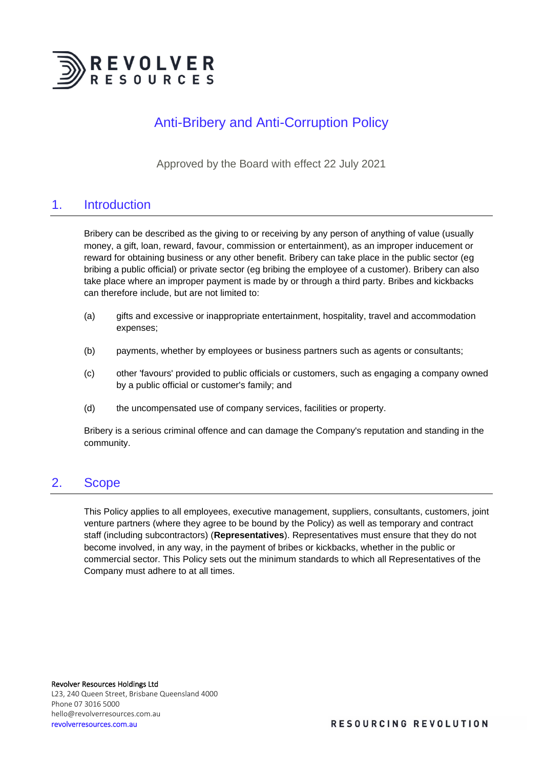

## Anti-Bribery and Anti-Corruption Policy

Approved by the Board with effect 22 July 2021

### 1. Introduction

Bribery can be described as the giving to or receiving by any person of anything of value (usually money, a gift, loan, reward, favour, commission or entertainment), as an improper inducement or reward for obtaining business or any other benefit. Bribery can take place in the public sector (eg bribing a public official) or private sector (eg bribing the employee of a customer). Bribery can also take place where an improper payment is made by or through a third party. Bribes and kickbacks can therefore include, but are not limited to:

- (a) gifts and excessive or inappropriate entertainment, hospitality, travel and accommodation expenses;
- (b) payments, whether by employees or business partners such as agents or consultants;
- (c) other 'favours' provided to public officials or customers, such as engaging a company owned by a public official or customer's family; and
- (d) the uncompensated use of company services, facilities or property.

Bribery is a serious criminal offence and can damage the Company's reputation and standing in the community.

### 2. Scope

This Policy applies to all employees, executive management, suppliers, consultants, customers, joint venture partners (where they agree to be bound by the Policy) as well as temporary and contract staff (including subcontractors) (**Representatives**). Representatives must ensure that they do not become involved, in any way, in the payment of bribes or kickbacks, whether in the public or commercial sector. This Policy sets out the minimum standards to which all Representatives of the Company must adhere to at all times.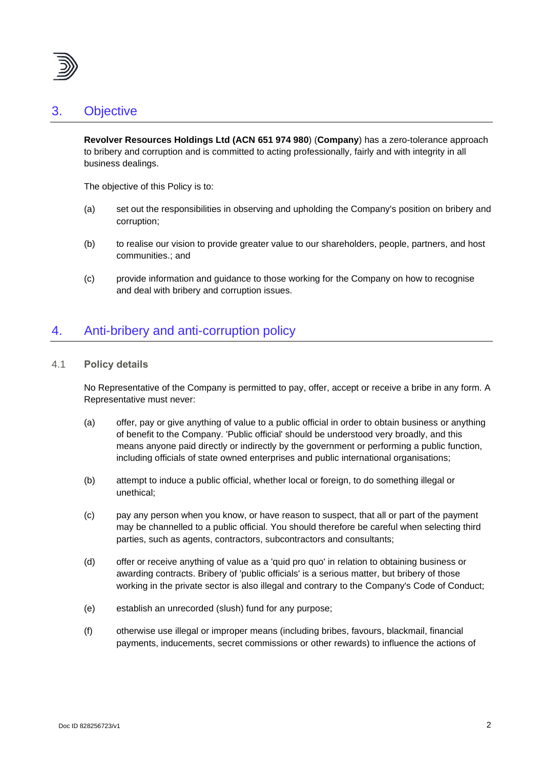

### 3. Objective

**Revolver Resources Holdings Ltd (ACN 651 974 980**) (**Company**) has a zero-tolerance approach to bribery and corruption and is committed to acting professionally, fairly and with integrity in all business dealings.

The objective of this Policy is to:

- (a) set out the responsibilities in observing and upholding the Company's position on bribery and corruption;
- (b) to realise our vision to provide greater value to our shareholders, people, partners, and host communities.; and
- (c) provide information and guidance to those working for the Company on how to recognise and deal with bribery and corruption issues.

### 4. Anti-bribery and anti-corruption policy

#### 4.1 **Policy details**

No Representative of the Company is permitted to pay, offer, accept or receive a bribe in any form. A Representative must never:

- (a) offer, pay or give anything of value to a public official in order to obtain business or anything of benefit to the Company. 'Public official' should be understood very broadly, and this means anyone paid directly or indirectly by the government or performing a public function, including officials of state owned enterprises and public international organisations;
- (b) attempt to induce a public official, whether local or foreign, to do something illegal or unethical;
- (c) pay any person when you know, or have reason to suspect, that all or part of the payment may be channelled to a public official. You should therefore be careful when selecting third parties, such as agents, contractors, subcontractors and consultants;
- (d) offer or receive anything of value as a 'quid pro quo' in relation to obtaining business or awarding contracts. Bribery of 'public officials' is a serious matter, but bribery of those working in the private sector is also illegal and contrary to the Company's Code of Conduct;
- (e) establish an unrecorded (slush) fund for any purpose;
- (f) otherwise use illegal or improper means (including bribes, favours, blackmail, financial payments, inducements, secret commissions or other rewards) to influence the actions of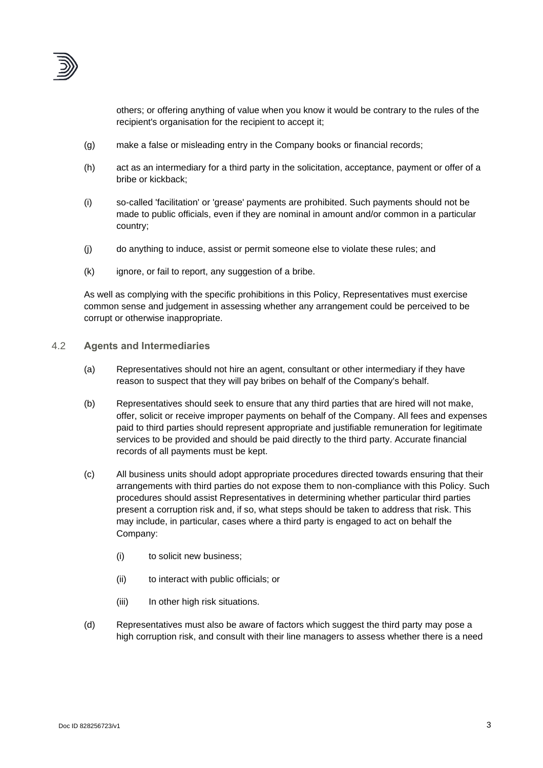

others; or offering anything of value when you know it would be contrary to the rules of the recipient's organisation for the recipient to accept it;

- (g) make a false or misleading entry in the Company books or financial records;
- (h) act as an intermediary for a third party in the solicitation, acceptance, payment or offer of a bribe or kickback;
- (i) so-called 'facilitation' or 'grease' payments are prohibited. Such payments should not be made to public officials, even if they are nominal in amount and/or common in a particular country;
- (j) do anything to induce, assist or permit someone else to violate these rules; and
- (k) ignore, or fail to report, any suggestion of a bribe.

As well as complying with the specific prohibitions in this Policy, Representatives must exercise common sense and judgement in assessing whether any arrangement could be perceived to be corrupt or otherwise inappropriate.

- 4.2 **Agents and Intermediaries**
	- (a) Representatives should not hire an agent, consultant or other intermediary if they have reason to suspect that they will pay bribes on behalf of the Company's behalf.
	- (b) Representatives should seek to ensure that any third parties that are hired will not make, offer, solicit or receive improper payments on behalf of the Company. All fees and expenses paid to third parties should represent appropriate and justifiable remuneration for legitimate services to be provided and should be paid directly to the third party. Accurate financial records of all payments must be kept.
	- (c) All business units should adopt appropriate procedures directed towards ensuring that their arrangements with third parties do not expose them to non-compliance with this Policy. Such procedures should assist Representatives in determining whether particular third parties present a corruption risk and, if so, what steps should be taken to address that risk. This may include, in particular, cases where a third party is engaged to act on behalf the Company:
		- (i) to solicit new business;
		- (ii) to interact with public officials; or
		- (iii) In other high risk situations.
	- (d) Representatives must also be aware of factors which suggest the third party may pose a high corruption risk, and consult with their line managers to assess whether there is a need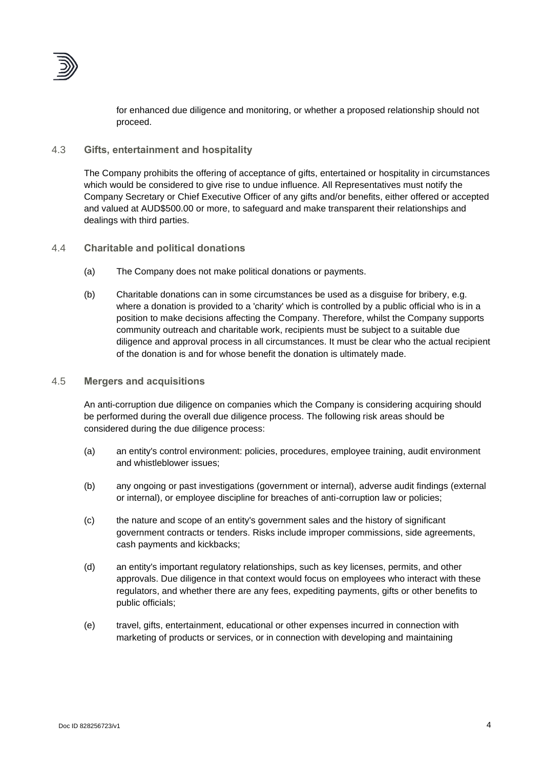

for enhanced due diligence and monitoring, or whether a proposed relationship should not proceed.

#### 4.3 **Gifts, entertainment and hospitality**

The Company prohibits the offering of acceptance of gifts, entertained or hospitality in circumstances which would be considered to give rise to undue influence. All Representatives must notify the Company Secretary or Chief Executive Officer of any gifts and/or benefits, either offered or accepted and valued at AUD\$500.00 or more, to safeguard and make transparent their relationships and dealings with third parties.

#### 4.4 **Charitable and political donations**

- (a) The Company does not make political donations or payments.
- (b) Charitable donations can in some circumstances be used as a disguise for bribery, e.g. where a donation is provided to a 'charity' which is controlled by a public official who is in a position to make decisions affecting the Company. Therefore, whilst the Company supports community outreach and charitable work, recipients must be subject to a suitable due diligence and approval process in all circumstances. It must be clear who the actual recipient of the donation is and for whose benefit the donation is ultimately made.

#### 4.5 **Mergers and acquisitions**

An anti-corruption due diligence on companies which the Company is considering acquiring should be performed during the overall due diligence process. The following risk areas should be considered during the due diligence process:

- (a) an entity's control environment: policies, procedures, employee training, audit environment and whistleblower issues;
- (b) any ongoing or past investigations (government or internal), adverse audit findings (external or internal), or employee discipline for breaches of anti-corruption law or policies;
- (c) the nature and scope of an entity's government sales and the history of significant government contracts or tenders. Risks include improper commissions, side agreements, cash payments and kickbacks;
- (d) an entity's important regulatory relationships, such as key licenses, permits, and other approvals. Due diligence in that context would focus on employees who interact with these regulators, and whether there are any fees, expediting payments, gifts or other benefits to public officials;
- (e) travel, gifts, entertainment, educational or other expenses incurred in connection with marketing of products or services, or in connection with developing and maintaining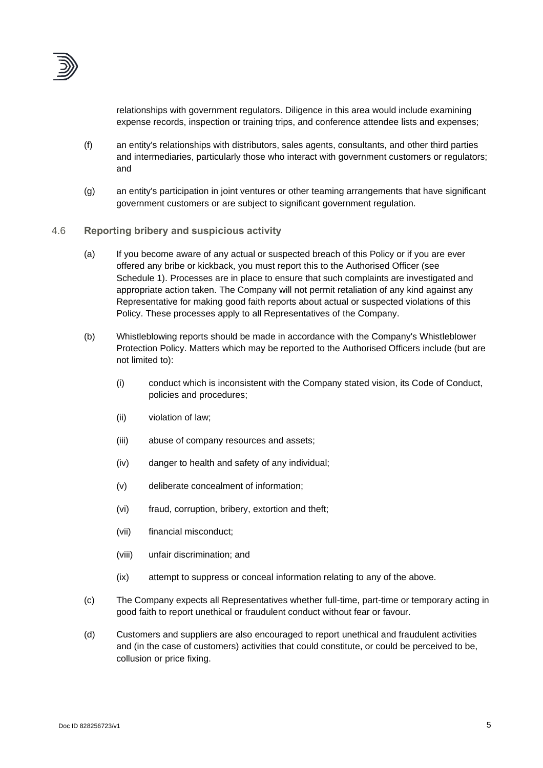

relationships with government regulators. Diligence in this area would include examining expense records, inspection or training trips, and conference attendee lists and expenses;

- (f) an entity's relationships with distributors, sales agents, consultants, and other third parties and intermediaries, particularly those who interact with government customers or regulators; and
- (g) an entity's participation in joint ventures or other teaming arrangements that have significant government customers or are subject to significant government regulation.

#### 4.6 **Reporting bribery and suspicious activity**

- (a) If you become aware of any actual or suspected breach of this Policy or if you are ever offered any bribe or kickback, you must report this to the Authorised Officer (see [Schedule](#page-7-0) 1). Processes are in place to ensure that such complaints are investigated and appropriate action taken. The Company will not permit retaliation of any kind against any Representative for making good faith reports about actual or suspected violations of this Policy. These processes apply to all Representatives of the Company.
- (b) Whistleblowing reports should be made in accordance with the Company's Whistleblower Protection Policy. Matters which may be reported to the Authorised Officers include (but are not limited to):
	- (i) conduct which is inconsistent with the Company stated vision, its Code of Conduct, policies and procedures;
	- (ii) violation of law;
	- (iii) abuse of company resources and assets;
	- (iv) danger to health and safety of any individual;
	- (v) deliberate concealment of information;
	- (vi) fraud, corruption, bribery, extortion and theft;
	- (vii) financial misconduct;
	- (viii) unfair discrimination; and
	- (ix) attempt to suppress or conceal information relating to any of the above.
- (c) The Company expects all Representatives whether full-time, part-time or temporary acting in good faith to report unethical or fraudulent conduct without fear or favour.
- (d) Customers and suppliers are also encouraged to report unethical and fraudulent activities and (in the case of customers) activities that could constitute, or could be perceived to be, collusion or price fixing.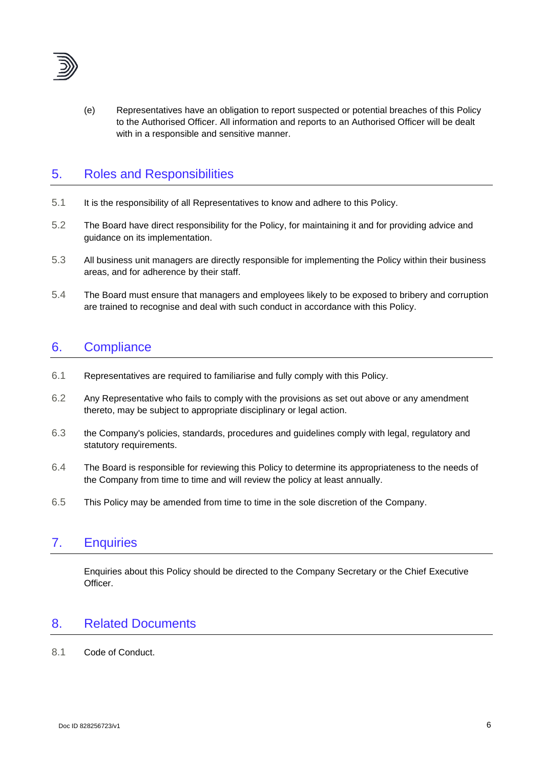

(e) Representatives have an obligation to report suspected or potential breaches of this Policy to the Authorised Officer. All information and reports to an Authorised Officer will be dealt with in a responsible and sensitive manner.

### 5. Roles and Responsibilities

- 5.1 It is the responsibility of all Representatives to know and adhere to this Policy.
- 5.2 The Board have direct responsibility for the Policy, for maintaining it and for providing advice and guidance on its implementation.
- 5.3 All business unit managers are directly responsible for implementing the Policy within their business areas, and for adherence by their staff.
- 5.4 The Board must ensure that managers and employees likely to be exposed to bribery and corruption are trained to recognise and deal with such conduct in accordance with this Policy.

### 6. Compliance

- 6.1 Representatives are required to familiarise and fully comply with this Policy.
- 6.2 Any Representative who fails to comply with the provisions as set out above or any amendment thereto, may be subject to appropriate disciplinary or legal action.
- 6.3 the Company's policies, standards, procedures and guidelines comply with legal, regulatory and statutory requirements.
- 6.4 The Board is responsible for reviewing this Policy to determine its appropriateness to the needs of the Company from time to time and will review the policy at least annually.
- 6.5 This Policy may be amended from time to time in the sole discretion of the Company.

### 7. Enquiries

Enquiries about this Policy should be directed to the Company Secretary or the Chief Executive Officer.

### 8. Related Documents

#### 8.1 Code of Conduct.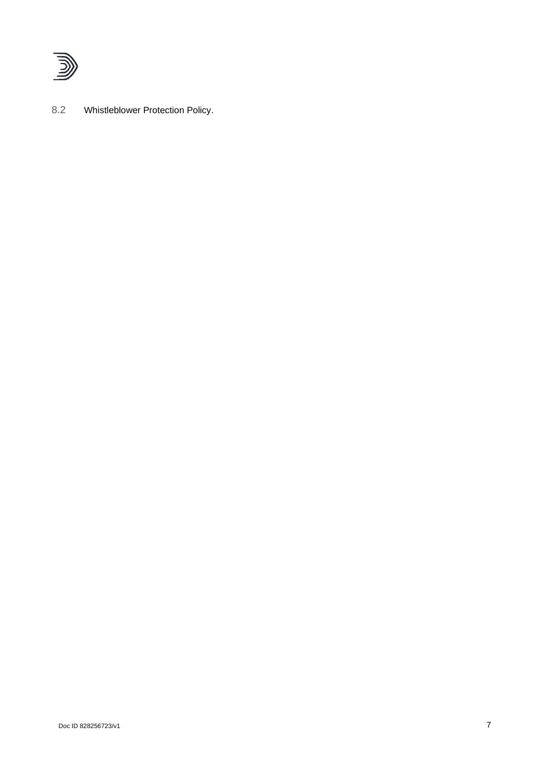

8.2 Whistleblower Protection Policy.